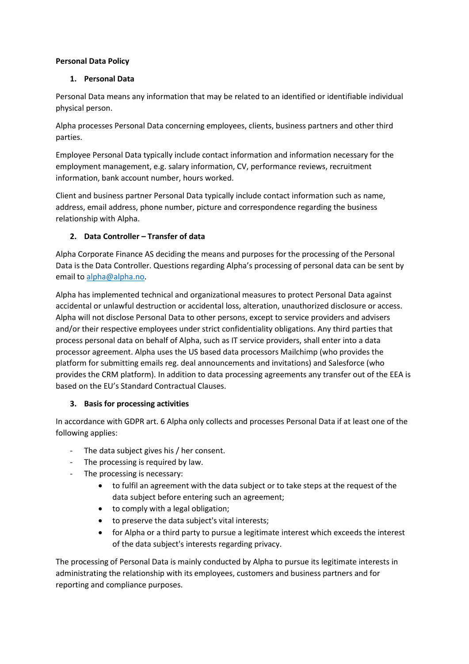#### **Personal Data Policy**

#### **1. Personal Data**

Personal Data means any information that may be related to an identified or identifiable individual physical person.

Alpha processes Personal Data concerning employees, clients, business partners and other third parties.

Employee Personal Data typically include contact information and information necessary for the employment management, e.g. salary information, CV, performance reviews, recruitment information, bank account number, hours worked.

Client and business partner Personal Data typically include contact information such as name, address, email address, phone number, picture and correspondence regarding the business relationship with Alpha.

### **2. Data Controller – Transfer of data**

Alpha Corporate Finance AS deciding the means and purposes for the processing of the Personal Data is the Data Controller. Questions regarding Alpha's processing of personal data can be sent by email to [alpha@alpha.no.](mailto:alpha@alpha.no)

Alpha has implemented technical and organizational measures to protect Personal Data against accidental or unlawful destruction or accidental loss, alteration, unauthorized disclosure or access. Alpha will not disclose Personal Data to other persons, except to service providers and advisers and/or their respective employees under strict confidentiality obligations. Any third parties that process personal data on behalf of Alpha, such as IT service providers, shall enter into a data processor agreement. Alpha uses the US based data processors Mailchimp (who provides the platform for submitting emails reg. deal announcements and invitations) and Salesforce (who provides the CRM platform). In addition to data processing agreements any transfer out of the EEA is based on the EU's Standard Contractual Clauses.

## **3. Basis for processing activities**

In accordance with GDPR art. 6 Alpha only collects and processes Personal Data if at least one of the following applies:

- The data subject gives his / her consent.
- The processing is required by law.
- The processing is necessary:
	- to fulfil an agreement with the data subject or to take steps at the request of the data subject before entering such an agreement;
	- to comply with a legal obligation;
	- to preserve the data subject's vital interests;
	- for Alpha or a third party to pursue a legitimate interest which exceeds the interest of the data subject's interests regarding privacy.

The processing of Personal Data is mainly conducted by Alpha to pursue its legitimate interests in administrating the relationship with its employees, customers and business partners and for reporting and compliance purposes.